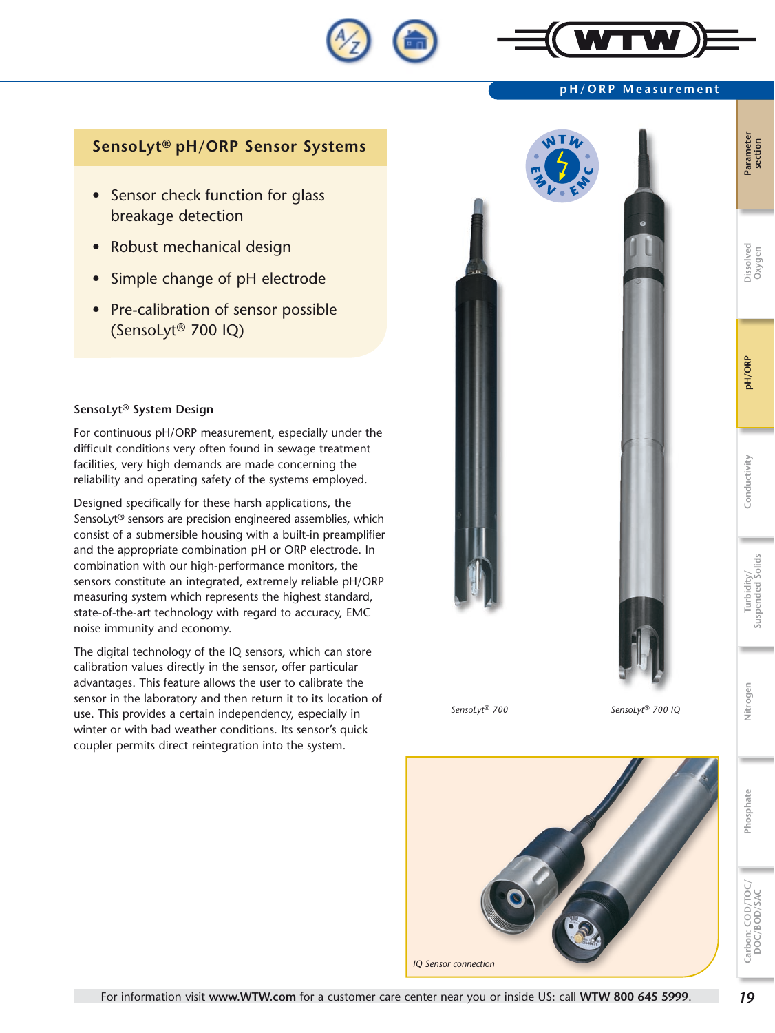

#### **pH/ORP Measurement**

# **SensoLyt® pH/ORP Sensor Systems**

- Sensor check function for glass breakage detection
- Robust mechanical design
- Simple change of pH electrode
- Pre-calibration of sensor possible (SensoLyt® 700 IQ)

### **SensoLyt® System Design**

For continuous pH/ORP measurement, especially under the difficult conditions very often found in sewage treatment facilities, very high demands are made concerning the reliability and operating safety of the systems employed.

Designed specifically for these harsh applications, the SensoLyt® sensors are precision engineered assemblies, which consist of a submersible housing with a built-in preamplifier and the appropriate combination pH or ORP electrode. In combination with our high-performance monitors, the sensors constitute an integrated, extremely reliable pH/ORP measuring system which represents the highest standard, state-of-the-art technology with regard to accuracy, EMC noise immunity and economy.

The digital technology of the IQ sensors, which can store calibration values directly in the sensor, offer particular advantages. This feature allows the user to calibrate the sensor in the laboratory and then return it to its location of use. This provides a certain independency, especially in winter or with bad weather conditions. Its sensor's quick coupler permits direct reintegration into the system.



*SensoLyt® 700 SensoLyt® 700 IQ*



**Carbon: COD/TOC/ DOC/BOD/SAC**

Carbon: COD/TOC/<br>DOC/BOD/SAC

**Phosphate Nitrogen Turbidity/** 

Nitrogen

Phosphate

**Suspended Solids**

Turbidity/<br>Suspended Solids

**Conductivity pH/ORP Dissolved** 

Conductivity

pH/ORP

**Oxygen**

**Parameter Parameter**<br>section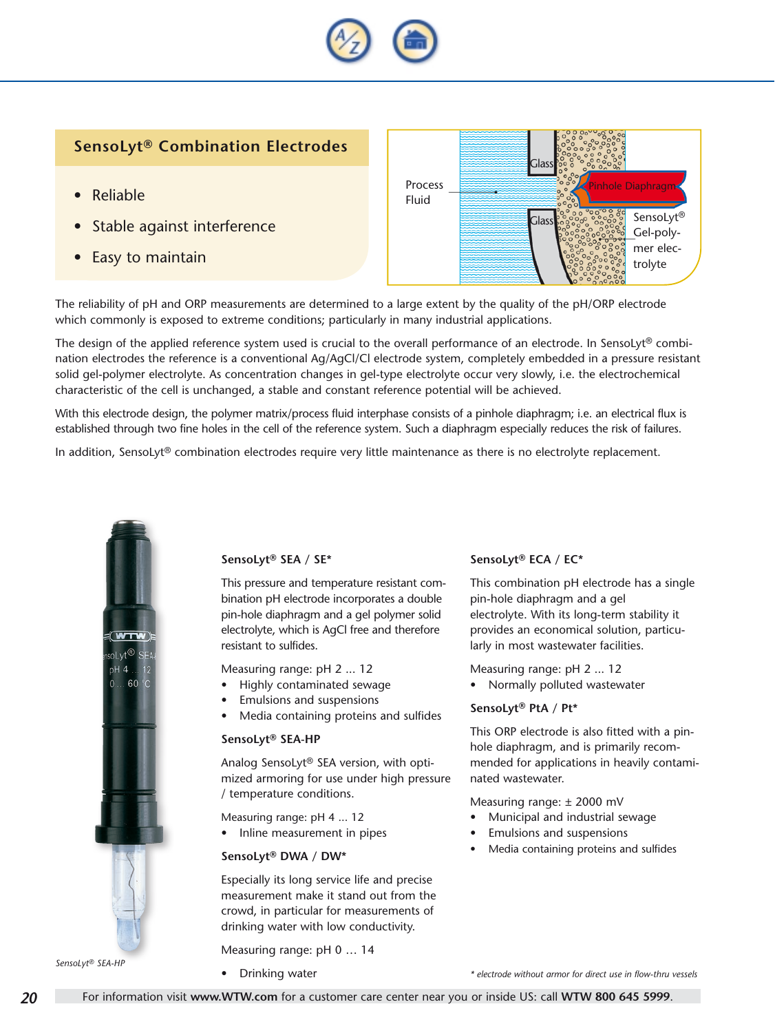

# **SensoLyt® Combination Electrodes**

- **Reliable**
- Stable against interference
- **Easy to maintain**



The reliability of pH and ORP measurements are determined to a large extent by the quality of the pH/ORP electrode which commonly is exposed to extreme conditions; particularly in many industrial applications.

The design of the applied reference system used is crucial to the overall performance of an electrode. In SensoLyt® combination electrodes the reference is a conventional Ag/AgCl/Cl electrode system, completely embedded in a pressure resistant solid gel-polymer electrolyte. As concentration changes in gel-type electrolyte occur very slowly, i.e. the electrochemical characteristic of the cell is unchanged, a stable and constant reference potential will be achieved.

With this electrode design, the polymer matrix/process fluid interphase consists of a pinhole diaphragm; i.e. an electrical flux is established through two fine holes in the cell of the reference system. Such a diaphragm especially reduces the risk of failures.

In addition, SensoLyt® combination electrodes require very little maintenance as there is no electrolyte replacement.



#### **SensoLyt® SEA / SE\***

This pressure and temperature resistant combination pH electrode incorporates a double pin-hole diaphragm and a gel polymer solid electrolyte, which is AgCl free and therefore resistant to sulfides.

Measuring range: pH 2 ... 12

- Highly contaminated sewage
- Emulsions and suspensions
- Media containing proteins and sulfides

#### **SensoLyt® SEA-HP**

Analog SensoLyt® SEA version, with optimized armoring for use under high pressure / temperature conditions.

- Measuring range: pH 4 ... 12
- Inline measurement in pipes

#### **SensoLyt® DWA / DW\***

Especially its long service life and precise measurement make it stand out from the crowd, in particular for measurements of drinking water with low conductivity.

Measuring range: pH 0 … 14

Drinking water

### **SensoLyt® ECA / EC\***

This combination pH electrode has a single pin-hole diaphragm and a gel electrolyte. With its long-term stability it provides an economical solution, particularly in most wastewater facilities.

Measuring range: pH 2 ... 12 Normally polluted wastewater

#### **SensoLyt® PtA / Pt\***

This ORP electrode is also fitted with a pinhole diaphragm, and is primarily recommended for applications in heavily contaminated wastewater.

Measuring range: ± 2000 mV

- Municipal and industrial sewage
- **Emulsions and suspensions**
- Media containing proteins and sulfides

*\* electrode without armor for direct use in flow-thru vessels*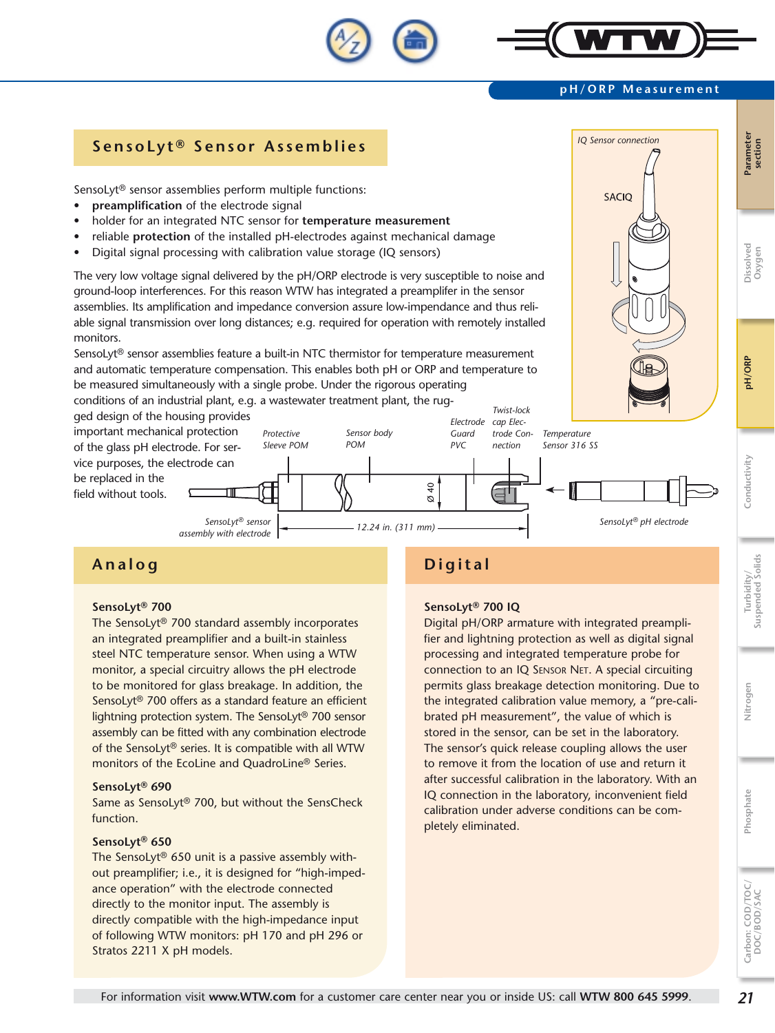#### SensoLyt® sensor assemblies perform multiple functions: **SACIO preamplification** of the electrode signal holder for an integrated NTC sensor for **temperature measurement** reliable **protection** of the installed pH-electrodes against mechanical damage **Conductivity pH/ORP Dissolved**  Digital signal processing with calibration value storage (IQ sensors) The very low voltage signal delivered by the pH/ORP electrode is very susceptible to noise and ground-loop interferences. For this reason WTW has integrated a preamplifer in the sensor assemblies. Its amplification and impedance conversion assure low-impendance and thus reliable signal transmission over long distances; e.g. required for operation with remotely installed monitors. SensoLyt® sensor assemblies feature a built-in NTC thermistor for temperature measurement and automatic temperature compensation. This enables both pH or ORP and temperature to be measured simultaneously with a single probe. Under the rigorous operating conditions of an industrial plant, e.g. a wastewater treatment plant, the rug-*Twist-lock*  ged design of the housing provides *Electrode cap Elec*important mechanical protection *Protective Sensor body Guard trode Con-Temperature POM Sleeve POM PVC Sensor 316 SS* of the glass pH electrode. For ser*nection* Conductivity vice purposes, the electrode can be replaced in the  $\overline{40}$ ⋴ field without tools.

**SensoLyt ® Sensor Assemblies** *IQ Sensor connection*

*12.24 in. (311 mm)*

*SensoLyt® sensor assembly with electrode*

# **Analog**

## **SensoLyt® 700**

The SensoLyt® 700 standard assembly incorporates an integrated preamplifier and a built-in stainless steel NTC temperature sensor. When using a WTW monitor, a special circuitry allows the pH electrode to be monitored for glass breakage. In addition, the SensoLyt® 700 offers as a standard feature an efficient lightning protection system. The SensoLyt® 700 sensor assembly can be fitted with any combination electrode of the SensoLyt® series. It is compatible with all WTW monitors of the EcoLine and QuadroLine® Series.

#### **SensoLyt® 690**

Same as SensoLyt® 700, but without the SensCheck function.

#### **SensoLyt® 650**

The SensoLyt® 650 unit is a passive assembly without preamplifier; i.e., it is designed for "high-impedance operation" with the electrode connected directly to the monitor input. The assembly is directly compatible with the high-impedance input of following WTW monitors: pH 170 and pH 296 or Stratos 2211 X pH models.

# **Digital**

 $\alpha$ 

### **SensoLyt® 700 IQ**

Digital pH/ORP armature with integrated preamplifier and lightning protection as well as digital signal processing and integrated temperature probe for connection to an IQ SENSOR NET. A special circuiting permits glass breakage detection monitoring. Due to the integrated calibration value memory, a "pre-calibrated pH measurement", the value of which is stored in the sensor, can be set in the laboratory. The sensor's quick release coupling allows the user to remove it from the location of use and return it after successful calibration in the laboratory. With an IQ connection in the laboratory, inconvenient field calibration under adverse conditions can be completely eliminated.

**Carbon: COD/TOC/ DOC/BOD/SAC**

Carbon: COD/TOC/<br>DOC/BOD/SAC

**Oxygen**

pH/ORP



*SensoLyt® pH electrode*

**pH/ORP Measurement**

Nitrogen